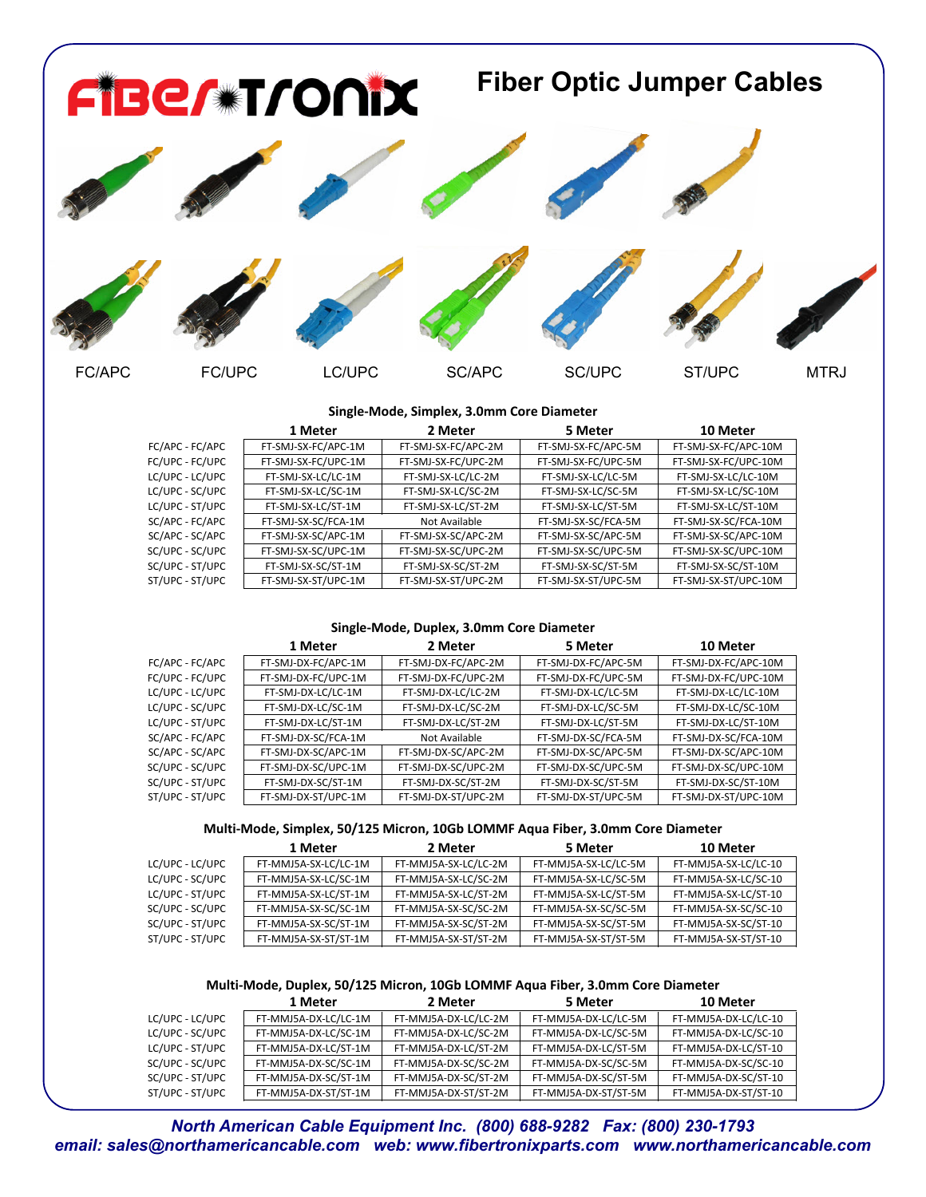

### **Single-Mode, Simplex, 3.0mm Core Diameter**

|                 | 1 Meter             | 2 Meter             | 5 Meter             | 10 Meter             |
|-----------------|---------------------|---------------------|---------------------|----------------------|
| FC/APC - FC/APC | FT-SMJ-SX-FC/APC-1M | FT-SMJ-SX-FC/APC-2M | FT-SMJ-SX-FC/APC-5M | FT-SMJ-SX-FC/APC-10M |
| FC/UPC - FC/UPC | FT-SMJ-SX-FC/UPC-1M | FT-SMJ-SX-FC/UPC-2M | FT-SMJ-SX-FC/UPC-5M | FT-SMJ-SX-FC/UPC-10M |
| LC/UPC - LC/UPC | FT-SMJ-SX-LC/LC-1M  | FT-SMJ-SX-LC/LC-2M  | FT-SMJ-SX-LC/LC-5M  | FT-SMJ-SX-LC/LC-10M  |
| LC/UPC - SC/UPC | FT-SMJ-SX-LC/SC-1M  | FT-SMJ-SX-LC/SC-2M  | FT-SMJ-SX-LC/SC-5M  | FT-SMJ-SX-LC/SC-10M  |
| LC/UPC - ST/UPC | FT-SMJ-SX-LC/ST-1M  | FT-SMJ-SX-LC/ST-2M  | FT-SMJ-SX-LC/ST-5M  | FT-SMJ-SX-LC/ST-10M  |
| SC/APC - FC/APC | FT-SMJ-SX-SC/FCA-1M | Not Available       | FT-SMJ-SX-SC/FCA-5M | FT-SMJ-SX-SC/FCA-10M |
| SC/APC - SC/APC | FT-SMJ-SX-SC/APC-1M | FT-SMJ-SX-SC/APC-2M | FT-SMJ-SX-SC/APC-5M | FT-SMJ-SX-SC/APC-10M |
| SC/UPC - SC/UPC | FT-SMJ-SX-SC/UPC-1M | FT-SMJ-SX-SC/UPC-2M | FT-SMJ-SX-SC/UPC-5M | FT-SMJ-SX-SC/UPC-10M |
| SC/UPC - ST/UPC | FT-SMJ-SX-SC/ST-1M  | FT-SMJ-SX-SC/ST-2M  | FT-SMJ-SX-SC/ST-5M  | FT-SMJ-SX-SC/ST-10M  |
| ST/UPC - ST/UPC | FT-SMJ-SX-ST/UPC-1M | FT-SMJ-SX-ST/UPC-2M | FT-SMJ-SX-ST/UPC-5M | FT-SMJ-SX-ST/UPC-10M |
|                 |                     |                     |                     |                      |

### **Single-Mode, Duplex, 3.0mm Core Diameter**

|                 | 1 Meter             | 2 Meter             | 5 Meter             | 10 Meter             |
|-----------------|---------------------|---------------------|---------------------|----------------------|
| FC/APC - FC/APC | FT-SMJ-DX-FC/APC-1M | FT-SMJ-DX-FC/APC-2M | FT-SMJ-DX-FC/APC-5M | FT-SMJ-DX-FC/APC-10M |
| FC/UPC - FC/UPC | FT-SMJ-DX-FC/UPC-1M | FT-SMJ-DX-FC/UPC-2M | FT-SMJ-DX-FC/UPC-5M | FT-SMJ-DX-FC/UPC-10M |
| LC/UPC - LC/UPC | FT-SMJ-DX-LC/LC-1M  | FT-SMJ-DX-LC/LC-2M  | FT-SMJ-DX-LC/LC-5M  | FT-SMJ-DX-LC/LC-10M  |
| LC/UPC - SC/UPC | FT-SMJ-DX-LC/SC-1M  | FT-SMJ-DX-LC/SC-2M  | FT-SMJ-DX-LC/SC-5M  | FT-SMJ-DX-LC/SC-10M  |
| LC/UPC - ST/UPC | FT-SMJ-DX-LC/ST-1M  | FT-SMJ-DX-LC/ST-2M  | FT-SMJ-DX-LC/ST-5M  | FT-SMJ-DX-LC/ST-10M  |
| SC/APC - FC/APC | FT-SMJ-DX-SC/FCA-1M | Not Available       | FT-SMJ-DX-SC/FCA-5M | FT-SMJ-DX-SC/FCA-10M |
| SC/APC - SC/APC | FT-SMJ-DX-SC/APC-1M | FT-SMJ-DX-SC/APC-2M | FT-SMJ-DX-SC/APC-5M | FT-SMJ-DX-SC/APC-10M |
| SC/UPC - SC/UPC | FT-SMJ-DX-SC/UPC-1M | FT-SMJ-DX-SC/UPC-2M | FT-SMJ-DX-SC/UPC-5M | FT-SMJ-DX-SC/UPC-10M |
| SC/UPC - ST/UPC | FT-SMJ-DX-SC/ST-1M  | FT-SMJ-DX-SC/ST-2M  | FT-SMJ-DX-SC/ST-5M  | FT-SMJ-DX-SC/ST-10M  |
| ST/UPC - ST/UPC | FT-SMJ-DX-ST/UPC-1M | FT-SMJ-DX-ST/UPC-2M | FT-SMJ-DX-ST/UPC-5M | FT-SMJ-DX-ST/UPC-10M |
|                 |                     |                     |                     |                      |

### **Multi-Mode, Simplex, 50/125 Micron, 10Gb LOMMF Aqua Fiber, 3.0mm Core Diameter**

|                 | 1 Meter              | 2 Meter              | 5 Meter              | 10 Meter             |
|-----------------|----------------------|----------------------|----------------------|----------------------|
| LC/UPC - LC/UPC | FT-MMJ5A-SX-LC/LC-1M | FT-MMJ5A-SX-LC/LC-2M | FT-MMJ5A-SX-LC/LC-5M | FT-MMJ5A-SX-LC/LC-10 |
| LC/UPC - SC/UPC | FT-MMJ5A-SX-LC/SC-1M | FT-MMJ5A-SX-LC/SC-2M | FT-MMJ5A-SX-LC/SC-5M | FT-MMJ5A-SX-LC/SC-10 |
| LC/UPC - ST/UPC | FT-MMJ5A-SX-LC/ST-1M | FT-MMJ5A-SX-LC/ST-2M | FT-MMJ5A-SX-LC/ST-5M | FT-MMJ5A-SX-LC/ST-10 |
| SC/UPC - SC/UPC | FT-MMJ5A-SX-SC/SC-1M | FT-MMJ5A-SX-SC/SC-2M | FT-MMJ5A-SX-SC/SC-5M | FT-MMJ5A-SX-SC/SC-10 |
| SC/UPC - ST/UPC | FT-MMJ5A-SX-SC/ST-1M | FT-MMJ5A-SX-SC/ST-2M | FT-MMJ5A-SX-SC/ST-5M | FT-MMJ5A-SX-SC/ST-10 |
| ST/UPC - ST/UPC | FT-MMJ5A-SX-ST/ST-1M | FT-MMJ5A-SX-ST/ST-2M | FT-MMJ5A-SX-ST/ST-5M | FT-MMJ5A-SX-ST/ST-10 |

### **Multi-Mode, Duplex, 50/125 Micron, 10Gb LOMMF Aqua Fiber, 3.0mm Core Diameter**

|                 | 1 Meter              | 2 Meter              | 5 Meter              | 10 Meter             |
|-----------------|----------------------|----------------------|----------------------|----------------------|
| LC/UPC - LC/UPC | FT-MMJ5A-DX-LC/LC-1M | FT-MMJ5A-DX-LC/LC-2M | FT-MMJ5A-DX-LC/LC-5M | FT-MMJ5A-DX-LC/LC-10 |
| LC/UPC - SC/UPC | FT-MMJ5A-DX-LC/SC-1M | FT-MMJ5A-DX-LC/SC-2M | FT-MMJ5A-DX-LC/SC-5M | FT-MMJ5A-DX-LC/SC-10 |
| LC/UPC - ST/UPC | FT-MMJ5A-DX-LC/ST-1M | FT-MMJ5A-DX-LC/ST-2M | FT-MMJ5A-DX-LC/ST-5M | FT-MMJ5A-DX-LC/ST-10 |
| SC/UPC - SC/UPC | FT-MMJ5A-DX-SC/SC-1M | FT-MMJ5A-DX-SC/SC-2M | FT-MMJ5A-DX-SC/SC-5M | FT-MMJ5A-DX-SC/SC-10 |
| SC/UPC - ST/UPC | FT-MMJ5A-DX-SC/ST-1M | FT-MMJ5A-DX-SC/ST-2M | FT-MMJ5A-DX-SC/ST-5M | FT-MMJ5A-DX-SC/ST-10 |
| ST/UPC - ST/UPC | FT-MMJ5A-DX-ST/ST-1M | FT-MMJ5A-DX-ST/ST-2M | FT-MMJ5A-DX-ST/ST-5M | FT-MMJ5A-DX-ST/ST-10 |

*North American Cable Equipment Inc. (800) 688-9282 Fax: (800) 230-1793 email: sales@northamericancable.com web: www.fibertronixparts.com www.northamericancable.com*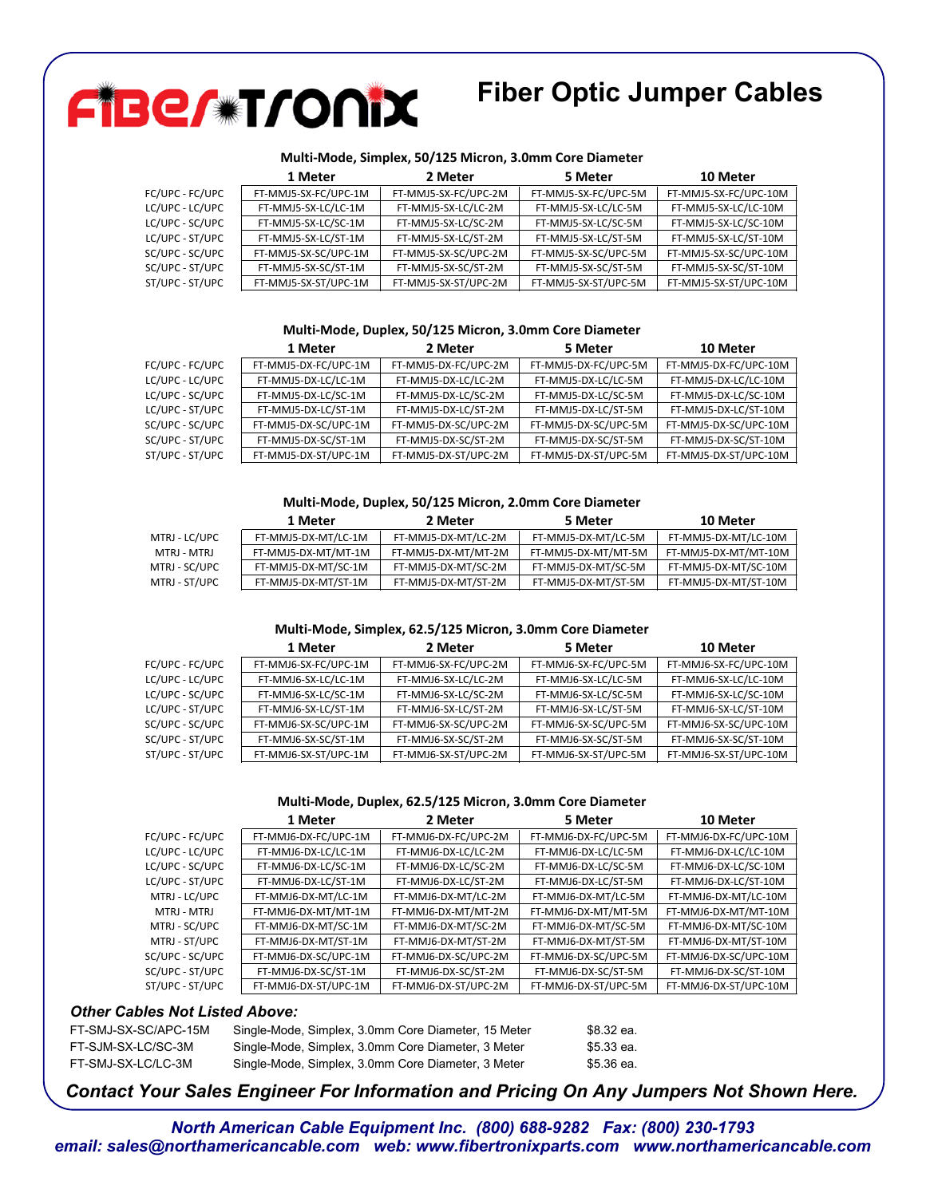

# **Fiber Optic Jumper Cables**

### **Multi-Mode, Simplex, 50/125 Micron, 3.0mm Core Diameter**

|                 | 1 Meter              | 2 Meter              | 5 Meter              | 10 Meter              |
|-----------------|----------------------|----------------------|----------------------|-----------------------|
| FC/UPC - FC/UPC | FT-MMJ5-SX-FC/UPC-1M | FT-MMJ5-SX-FC/UPC-2M | FT-MMJ5-SX-FC/UPC-5M | FT-MMJ5-SX-FC/UPC-10M |
| LC/UPC - LC/UPC | FT-MMJ5-SX-LC/LC-1M  | FT-MMJ5-SX-LC/LC-2M  | FT-MMJ5-SX-LC/LC-5M  | FT-MMJ5-SX-LC/LC-10M  |
| LC/UPC - SC/UPC | FT-MMJ5-SX-LC/SC-1M  | FT-MMJ5-SX-LC/SC-2M  | FT-MMJ5-SX-LC/SC-5M  | FT-MMJ5-SX-LC/SC-10M  |
| LC/UPC - ST/UPC | FT-MMJ5-SX-LC/ST-1M  | FT-MMJ5-SX-LC/ST-2M  | FT-MMJ5-SX-LC/ST-5M  | FT-MMJ5-SX-LC/ST-10M  |
| SC/UPC - SC/UPC | FT-MMJ5-SX-SC/UPC-1M | FT-MMJ5-SX-SC/UPC-2M | FT-MMJ5-SX-SC/UPC-5M | FT-MMJ5-SX-SC/UPC-10M |
| SC/UPC - ST/UPC | FT-MMJ5-SX-SC/ST-1M  | FT-MMJ5-SX-SC/ST-2M  | FT-MMJ5-SX-SC/ST-5M  | FT-MMJ5-SX-SC/ST-10M  |
| ST/UPC - ST/UPC | FT-MMJ5-SX-ST/UPC-1M | FT-MMJ5-SX-ST/UPC-2M | FT-MMJ5-SX-ST/UPC-5M | FT-MMJ5-SX-ST/UPC-10M |

### **Multi-Mode, Duplex, 50/125 Micron, 3.0mm Core Diameter**

|                 | 1 Meter              | 2 Meter              | 5 Meter              | 10 Meter              |
|-----------------|----------------------|----------------------|----------------------|-----------------------|
| FC/UPC - FC/UPC | FT-MMJ5-DX-FC/UPC-1M | FT-MMJ5-DX-FC/UPC-2M | FT-MMJ5-DX-FC/UPC-5M | FT-MMJ5-DX-FC/UPC-10M |
| LC/UPC - LC/UPC | FT-MMJ5-DX-LC/LC-1M  | FT-MMJ5-DX-LC/LC-2M  | FT-MMJ5-DX-LC/LC-5M  | FT-MMJ5-DX-LC/LC-10M  |
| LC/UPC - SC/UPC | FT-MMJ5-DX-LC/SC-1M  | FT-MMJ5-DX-LC/SC-2M  | FT-MMJ5-DX-LC/SC-5M  | FT-MMJ5-DX-LC/SC-10M  |
| LC/UPC - ST/UPC | FT-MMJ5-DX-LC/ST-1M  | FT-MMJ5-DX-LC/ST-2M  | FT-MMJ5-DX-LC/ST-5M  | FT-MMJ5-DX-LC/ST-10M  |
| SC/UPC - SC/UPC | FT-MMJ5-DX-SC/UPC-1M | FT-MMJ5-DX-SC/UPC-2M | FT-MMJ5-DX-SC/UPC-5M | FT-MMJ5-DX-SC/UPC-10M |
| SC/UPC - ST/UPC | FT-MMJ5-DX-SC/ST-1M  | FT-MMJ5-DX-SC/ST-2M  | FT-MMJ5-DX-SC/ST-5M  | FT-MMJ5-DX-SC/ST-10M  |
| ST/UPC - ST/UPC | FT-MMJ5-DX-ST/UPC-1M | FT-MMJ5-DX-ST/UPC-2M | FT-MMJ5-DX-ST/UPC-5M | FT-MMJ5-DX-ST/UPC-10M |
|                 |                      |                      |                      |                       |

#### **Multi-Mode, Duplex, 50/125 Micron, 2.0mm Core Diameter**

|               | 1 Meter             | 2 Meter             | 5 Meter             | 10 Meter             |
|---------------|---------------------|---------------------|---------------------|----------------------|
| MTRJ - LC/UPC | FT-MMJ5-DX-MT/LC-1M | FT-MMJ5-DX-MT/LC-2M | FT-MMJ5-DX-MT/LC-5M | FT-MMJ5-DX-MT/LC-10M |
| MTRJ - MTRJ   | FT-MMJ5-DX-MT/MT-1M | FT-MMJ5-DX-MT/MT-2M | FT-MMJ5-DX-MT/MT-5M | FT-MMJ5-DX-MT/MT-10M |
| MTRJ - SC/UPC | FT-MMJ5-DX-MT/SC-1M | FT-MMJ5-DX-MT/SC-2M | FT-MMJ5-DX-MT/SC-5M | FT-MMJ5-DX-MT/SC-10M |
| MTRJ - ST/UPC | FT-MMJ5-DX-MT/ST-1M | FT-MMJ5-DX-MT/ST-2M | FT-MMJ5-DX-MT/ST-5M | FT-MMJ5-DX-MT/ST-10M |

### **Multi-Mode, Simplex, 62.5/125 Micron, 3.0mm Core Diameter**

|                 | 1 Meter              | 2 Meter              | 5 Meter              | 10 Meter              |
|-----------------|----------------------|----------------------|----------------------|-----------------------|
| FC/UPC - FC/UPC | FT-MMJ6-SX-FC/UPC-1M | FT-MMJ6-SX-FC/UPC-2M | FT-MMJ6-SX-FC/UPC-5M | FT-MMJ6-SX-FC/UPC-10M |
| LC/UPC - LC/UPC | FT-MMJ6-SX-LC/LC-1M  | FT-MMJ6-SX-LC/LC-2M  | FT-MMJ6-SX-LC/LC-5M  | FT-MMJ6-SX-LC/LC-10M  |
| LC/UPC - SC/UPC | FT-MMJ6-SX-LC/SC-1M  | FT-MMJ6-SX-LC/SC-2M  | FT-MMJ6-SX-LC/SC-5M  | FT-MMJ6-SX-LC/SC-10M  |
| LC/UPC - ST/UPC | FT-MMJ6-SX-LC/ST-1M  | FT-MMJ6-SX-LC/ST-2M  | FT-MMJ6-SX-LC/ST-5M  | FT-MMJ6-SX-LC/ST-10M  |
| SC/UPC - SC/UPC | FT-MMJ6-SX-SC/UPC-1M | FT-MMJ6-SX-SC/UPC-2M | FT-MMJ6-SX-SC/UPC-5M | FT-MMJ6-SX-SC/UPC-10M |
| SC/UPC - ST/UPC | FT-MMJ6-SX-SC/ST-1M  | FT-MMJ6-SX-SC/ST-2M  | FT-MMJ6-SX-SC/ST-5M  | FT-MMJ6-SX-SC/ST-10M  |
| ST/UPC - ST/UPC | FT-MMJ6-SX-ST/UPC-1M | FT-MMJ6-SX-ST/UPC-2M | FT-MMJ6-SX-ST/UPC-5M | FT-MMJ6-SX-ST/UPC-10M |
|                 |                      |                      |                      |                       |

### **Multi-Mode, Duplex, 62.5/125 Micron, 3.0mm Core Diameter**

|                 | 1 Meter              | 2 Meter              | 5 Meter              | 10 Meter              |
|-----------------|----------------------|----------------------|----------------------|-----------------------|
| FC/UPC - FC/UPC | FT-MMJ6-DX-FC/UPC-1M | FT-MMJ6-DX-FC/UPC-2M | FT-MMJ6-DX-FC/UPC-5M | FT-MMJ6-DX-FC/UPC-10M |
| LC/UPC - LC/UPC | FT-MMJ6-DX-LC/LC-1M  | FT-MMJ6-DX-LC/LC-2M  | FT-MMJ6-DX-LC/LC-5M  | FT-MMJ6-DX-LC/LC-10M  |
| LC/UPC - SC/UPC | FT-MMJ6-DX-LC/SC-1M  | FT-MMJ6-DX-LC/SC-2M  | FT-MMJ6-DX-LC/SC-5M  | FT-MMJ6-DX-LC/SC-10M  |
| LC/UPC - ST/UPC | FT-MMJ6-DX-LC/ST-1M  | FT-MMJ6-DX-LC/ST-2M  | FT-MMJ6-DX-LC/ST-5M  | FT-MMJ6-DX-LC/ST-10M  |
| MTRJ - LC/UPC   | FT-MMJ6-DX-MT/LC-1M  | FT-MMJ6-DX-MT/LC-2M  | FT-MMJ6-DX-MT/LC-5M  | FT-MMJ6-DX-MT/LC-10M  |
| MTRJ - MTRJ     | FT-MMJ6-DX-MT/MT-1M  | FT-MMJ6-DX-MT/MT-2M  | FT-MMJ6-DX-MT/MT-5M  | FT-MMJ6-DX-MT/MT-10M  |
| MTRJ - SC/UPC   | FT-MMJ6-DX-MT/SC-1M  | FT-MMJ6-DX-MT/SC-2M  | FT-MMJ6-DX-MT/SC-5M  | FT-MMJ6-DX-MT/SC-10M  |
| MTRJ - ST/UPC   | FT-MMJ6-DX-MT/ST-1M  | FT-MMJ6-DX-MT/ST-2M  | FT-MMJ6-DX-MT/ST-5M  | FT-MMJ6-DX-MT/ST-10M  |
| SC/UPC - SC/UPC | FT-MMJ6-DX-SC/UPC-1M | FT-MMJ6-DX-SC/UPC-2M | FT-MMJ6-DX-SC/UPC-5M | FT-MMJ6-DX-SC/UPC-10M |
| SC/UPC - ST/UPC | FT-MMJ6-DX-SC/ST-1M  | FT-MMJ6-DX-SC/ST-2M  | FT-MMJ6-DX-SC/ST-5M  | FT-MMJ6-DX-SC/ST-10M  |
| ST/UPC - ST/UPC | FT-MMJ6-DX-ST/UPC-1M | FT-MMJ6-DX-ST/UPC-2M | FT-MMJ6-DX-ST/UPC-5M | FT-MMJ6-DX-ST/UPC-10M |
|                 |                      |                      |                      |                       |

### *Other Cables Not Listed Above:*

| FT-SMJ-SX-SC/APC-15M | Single-Mode, Simplex, 3.0mm Core Diameter, 15 Meter | \$8.32 ea. |
|----------------------|-----------------------------------------------------|------------|
| FT-SJM-SX-LC/SC-3M   | Single-Mode, Simplex, 3.0mm Core Diameter, 3 Meter  | \$5.33 ea. |
| FT-SMJ-SX-LC/LC-3M   | Single-Mode, Simplex, 3.0mm Core Diameter, 3 Meter  | \$5.36 ea. |

### *Contact Your Sales Engineer For Information and Pricing On Any Jumpers Not Shown Here.*

*North American Cable Equipment Inc. (800) 688-9282 Fax: (800) 230-1793 email: sales@northamericancable.com web: www.fibertronixparts.com www.northamericancable.com*